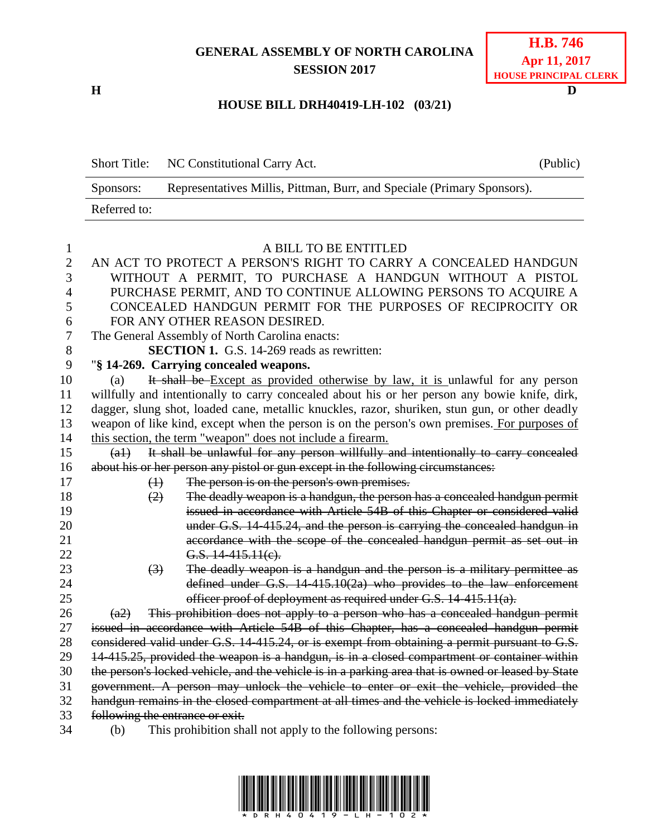## **GENERAL ASSEMBLY OF NORTH CAROLINA SESSION 2017**

## **H D HOUSE BILL DRH40419-LH-102 (03/21)**

|              | Short Title: NC Constitutional Carry Act.                               | (Public) |
|--------------|-------------------------------------------------------------------------|----------|
| Sponsors:    | Representatives Millis, Pittman, Burr, and Speciale (Primary Sponsors). |          |
| Referred to: |                                                                         |          |

| 1              | A BILL TO BE ENTITLED                                                                              |
|----------------|----------------------------------------------------------------------------------------------------|
| $\overline{2}$ | AN ACT TO PROTECT A PERSON'S RIGHT TO CARRY A CONCEALED HANDGUN                                    |
| 3              | WITHOUT A PERMIT, TO PURCHASE A HANDGUN WITHOUT A PISTOL                                           |
| 4              | PURCHASE PERMIT, AND TO CONTINUE ALLOWING PERSONS TO ACQUIRE A                                     |
| 5              | CONCEALED HANDGUN PERMIT FOR THE PURPOSES OF RECIPROCITY OR                                        |
| 6              | FOR ANY OTHER REASON DESIRED.                                                                      |
| 7              | The General Assembly of North Carolina enacts:                                                     |
| 8              | <b>SECTION 1.</b> G.S. 14-269 reads as rewritten:                                                  |
| 9              | "§ 14-269. Carrying concealed weapons.                                                             |
| 10             | It shall be Except as provided otherwise by law, it is unlawful for any person<br>(a)              |
| 11             | willfully and intentionally to carry concealed about his or her person any bowie knife, dirk,      |
| 12             | dagger, slung shot, loaded cane, metallic knuckles, razor, shuriken, stun gun, or other deadly     |
| 13             | weapon of like kind, except when the person is on the person's own premises. For purposes of       |
| 14             | this section, the term "weapon" does not include a firearm.                                        |
| 15             | It shall be unlawful for any person willfully and intentionally to carry concealed<br>$(a+)$       |
| 16             | about his or her person any pistol or gun except in the following circumstances:                   |
| 17             | The person is on the person's own premises.<br>$\leftrightarrow$                                   |
| 18             | The deadly weapon is a handgun, the person has a concealed handgun permit<br>(2)                   |
| 19             | issued in accordance with Article 54B of this Chapter or considered valid                          |
| 20             | under G.S. 14-415.24, and the person is carrying the concealed handgun in                          |
| 21             | accordance with the scope of the concealed handgun permit as set out in                            |
| 22             | $G.S. 14-415.11(e).$                                                                               |
| 23             | The deadly weapon is a handgun and the person is a military permittee as<br>$\left(3\right)$       |
| 24             | defined under G.S. $14-415.10(2a)$ who provides to the law enforcement                             |
| 25             | officer proof of deployment as required under G.S. 14-415.11(a).                                   |
| 26             | This prohibition does not apply to a person who has a concealed handgun permit<br>(a2)             |
| 27             | issued in accordance with Article 54B of this Chapter, has a concealed handgun permit              |
| 28             | considered valid under G.S. 14-415.24, or is exempt from obtaining a permit pursuant to G.S.       |
| 29             | 14-415.25, provided the weapon is a handgun, is in a closed compartment or container within        |
| 30             | the person's locked vehicle, and the vehicle is in a parking area that is owned or leased by State |
| 31             | government. A person may unlock the vehicle to enter or exit the vehicle, provided the             |
| 32             | handgun remains in the closed compartment at all times and the vehicle is locked immediately       |
| 33             | following the entrance or exit.                                                                    |
| 34             | This prohibition shall not apply to the following persons:<br>(b)                                  |

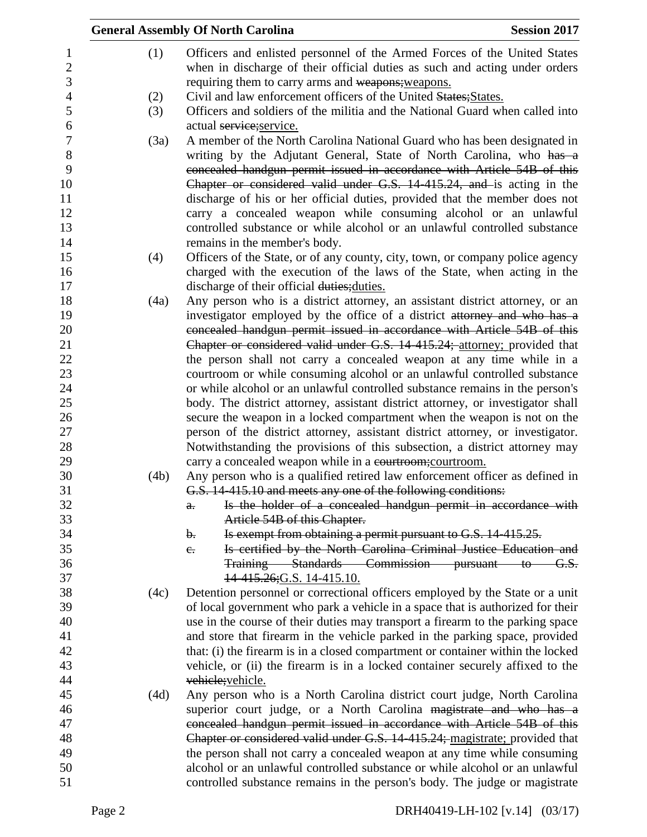|      | <b>Session 2017</b><br><b>General Assembly Of North Carolina</b>                 |
|------|----------------------------------------------------------------------------------|
| (1)  | Officers and enlisted personnel of the Armed Forces of the United States         |
|      | when in discharge of their official duties as such and acting under orders       |
|      | requiring them to carry arms and weapons; weapons.                               |
| (2)  | Civil and law enforcement officers of the United States; States.                 |
| (3)  | Officers and soldiers of the militia and the National Guard when called into     |
|      | actual service; service.                                                         |
| (3a) | A member of the North Carolina National Guard who has been designated in         |
|      | writing by the Adjutant General, State of North Carolina, who has a              |
|      | concealed handgun permit issued in accordance with Article 54B of this           |
|      | Chapter or considered valid under G.S. 14 415.24, and is acting in the           |
|      | discharge of his or her official duties, provided that the member does not       |
|      | carry a concealed weapon while consuming alcohol or an unlawful                  |
|      | controlled substance or while alcohol or an unlawful controlled substance        |
|      | remains in the member's body.                                                    |
| (4)  | Officers of the State, or of any county, city, town, or company police agency    |
|      | charged with the execution of the laws of the State, when acting in the          |
|      | discharge of their official duties; duties.                                      |
| (4a) | Any person who is a district attorney, an assistant district attorney, or an     |
|      | investigator employed by the office of a district attorney and who has a         |
|      | concealed handgun permit issued in accordance with Article 54B of this           |
|      | Chapter or considered valid under G.S. 14-415.24; attorney; provided that        |
|      | the person shall not carry a concealed weapon at any time while in a             |
|      | courtroom or while consuming alcohol or an unlawful controlled substance         |
|      | or while alcohol or an unlawful controlled substance remains in the person's     |
|      | body. The district attorney, assistant district attorney, or investigator shall  |
|      | secure the weapon in a locked compartment when the weapon is not on the          |
|      | person of the district attorney, assistant district attorney, or investigator.   |
|      | Notwithstanding the provisions of this subsection, a district attorney may       |
|      | carry a concealed weapon while in a courtroom; courtroom.                        |
| (4b) | Any person who is a qualified retired law enforcement officer as defined in      |
|      | G.S. 14-415.10 and meets any one of the following conditions:                    |
|      | Is the holder of a concealed handgun permit in accordance with<br>$a$ .          |
|      | Article 54B of this Chapter.                                                     |
|      | Is exempt from obtaining a permit pursuant to G.S. 14-415.25.<br>b.              |
|      | Is certified by the North Carolina Criminal Justice Education and<br>$e_{\cdot}$ |
|      | Training Standards Commission pursuant to G.S.                                   |
|      | 14-415.26; G.S. 14-415.10.                                                       |
| (4c) | Detention personnel or correctional officers employed by the State or a unit     |
|      | of local government who park a vehicle in a space that is authorized for their   |
|      | use in the course of their duties may transport a firearm to the parking space   |
|      | and store that firearm in the vehicle parked in the parking space, provided      |
|      | that: (i) the firearm is in a closed compartment or container within the locked  |
|      | vehicle, or (ii) the firearm is in a locked container securely affixed to the    |
|      | vehicle; vehicle.                                                                |
| (4d) | Any person who is a North Carolina district court judge, North Carolina          |
|      | superior court judge, or a North Carolina magistrate and who has a               |
|      | concealed handgun permit issued in accordance with Article 54B of this           |
|      | Chapter or considered valid under G.S. 14-415.24; magistrate; provided that      |
|      | the person shall not carry a concealed weapon at any time while consuming        |
|      | alcohol or an unlawful controlled substance or while alcohol or an unlawful      |
|      | controlled substance remains in the person's body. The judge or magistrate       |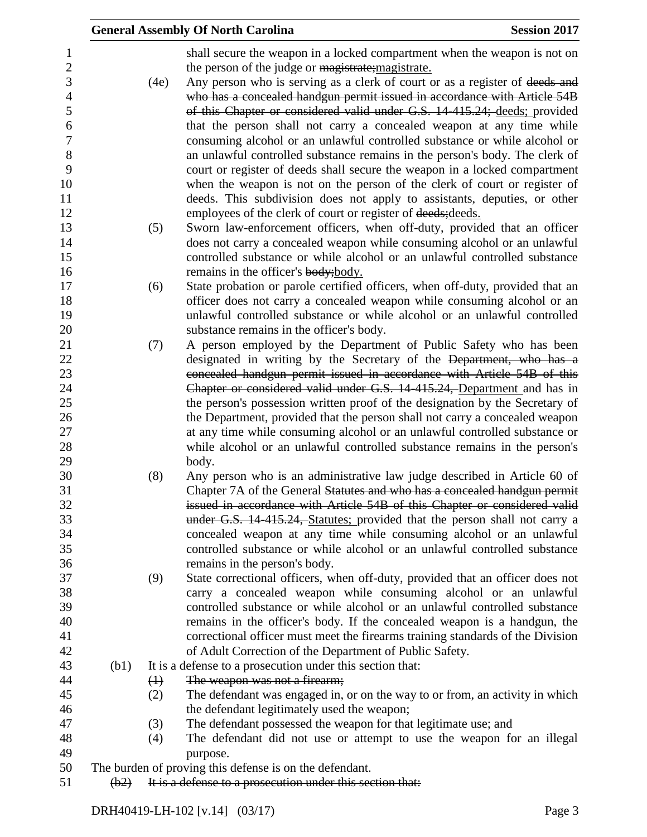|                  |      |             | <b>General Assembly Of North Carolina</b>                                      | <b>Session 2017</b> |
|------------------|------|-------------|--------------------------------------------------------------------------------|---------------------|
| $\mathbf{1}$     |      |             | shall secure the weapon in a locked compartment when the weapon is not on      |                     |
| $\sqrt{2}$       |      |             | the person of the judge or magistrate; magistrate.                             |                     |
| 3                |      | (4e)        | Any person who is serving as a clerk of court or as a register of deeds and    |                     |
| $\overline{4}$   |      |             | who has a concealed handgun permit issued in accordance with Article 54B       |                     |
| 5                |      |             | of this Chapter or considered valid under G.S. 14-415.24; deeds; provided      |                     |
| 6                |      |             | that the person shall not carry a concealed weapon at any time while           |                     |
| $\boldsymbol{7}$ |      |             | consuming alcohol or an unlawful controlled substance or while alcohol or      |                     |
| $8\,$            |      |             | an unlawful controlled substance remains in the person's body. The clerk of    |                     |
| 9                |      |             | court or register of deeds shall secure the weapon in a locked compartment     |                     |
| 10               |      |             | when the weapon is not on the person of the clerk of court or register of      |                     |
| 11               |      |             | deeds. This subdivision does not apply to assistants, deputies, or other       |                     |
| 12               |      |             | employees of the clerk of court or register of deeds; deeds.                   |                     |
| 13               |      | (5)         | Sworn law-enforcement officers, when off-duty, provided that an officer        |                     |
| 14               |      |             | does not carry a concealed weapon while consuming alcohol or an unlawful       |                     |
| 15               |      |             | controlled substance or while alcohol or an unlawful controlled substance      |                     |
| 16               |      |             | remains in the officer's body; body.                                           |                     |
| 17               |      | (6)         | State probation or parole certified officers, when off-duty, provided that an  |                     |
| 18               |      |             | officer does not carry a concealed weapon while consuming alcohol or an        |                     |
| 19               |      |             | unlawful controlled substance or while alcohol or an unlawful controlled       |                     |
| 20               |      |             | substance remains in the officer's body.                                       |                     |
| 21               |      | (7)         | A person employed by the Department of Public Safety who has been              |                     |
| 22               |      |             | designated in writing by the Secretary of the Department, who has a            |                     |
| 23               |      |             | concealed handgun permit issued in accordance with Article 54B of this         |                     |
| 24               |      |             | Chapter or considered valid under G.S. 14-415.24, Department and has in        |                     |
| 25               |      |             | the person's possession written proof of the designation by the Secretary of   |                     |
| 26               |      |             | the Department, provided that the person shall not carry a concealed weapon    |                     |
| 27               |      |             | at any time while consuming alcohol or an unlawful controlled substance or     |                     |
| 28               |      |             | while alcohol or an unlawful controlled substance remains in the person's      |                     |
| 29               |      |             | body.                                                                          |                     |
| 30               |      | (8)         | Any person who is an administrative law judge described in Article 60 of       |                     |
| 31               |      |             | Chapter 7A of the General Statutes and who has a concealed handgun permit      |                     |
| 32               |      |             | issued in accordance with Article 54B of this Chapter or considered valid      |                     |
| 33               |      |             | under G.S. 14-415.24, Statutes; provided that the person shall not carry a     |                     |
| 34               |      |             | concealed weapon at any time while consuming alcohol or an unlawful            |                     |
| 35               |      |             | controlled substance or while alcohol or an unlawful controlled substance      |                     |
| 36               |      |             | remains in the person's body.                                                  |                     |
| 37               |      | (9)         | State correctional officers, when off-duty, provided that an officer does not  |                     |
| 38               |      |             | carry a concealed weapon while consuming alcohol or an unlawful                |                     |
| 39               |      |             | controlled substance or while alcohol or an unlawful controlled substance      |                     |
| 40               |      |             | remains in the officer's body. If the concealed weapon is a handgun, the       |                     |
| 41               |      |             | correctional officer must meet the firearms training standards of the Division |                     |
| 42               |      |             | of Adult Correction of the Department of Public Safety.                        |                     |
| 43               | (b1) |             | It is a defense to a prosecution under this section that:                      |                     |
| 44               |      | $\bigoplus$ | The weapon was not a firearm;                                                  |                     |
| 45               |      | (2)         | The defendant was engaged in, or on the way to or from, an activity in which   |                     |
| 46               |      |             | the defendant legitimately used the weapon;                                    |                     |
| 47               |      | (3)         | The defendant possessed the weapon for that legitimate use; and                |                     |
| 48               |      | (4)         | The defendant did not use or attempt to use the weapon for an illegal          |                     |
| 49               |      |             | purpose.                                                                       |                     |
| 50               |      |             | The burden of proving this defense is on the defendant.                        |                     |
| 51               | (b2) |             | It is a defense to a prosecution under this section that:                      |                     |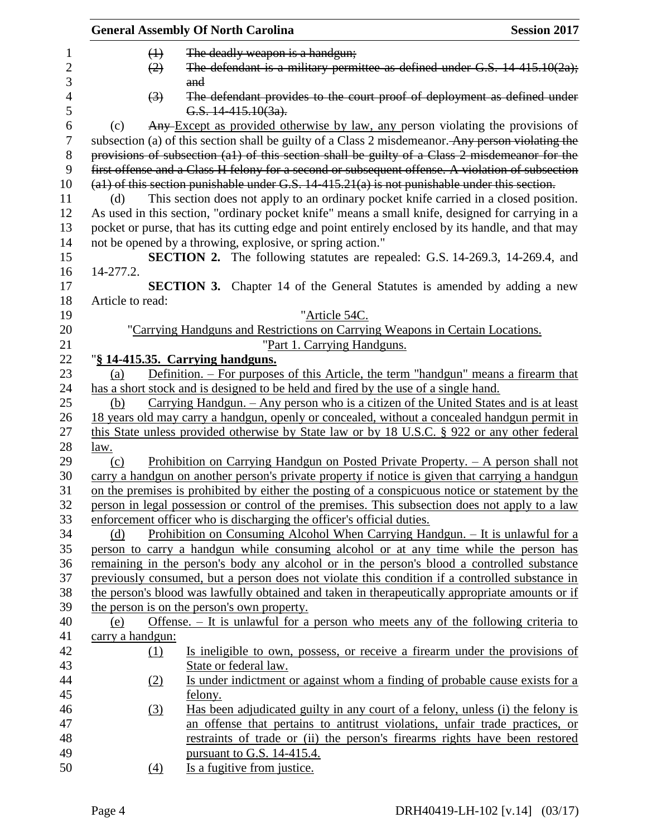|                   | <b>General Assembly Of North Carolina</b>                                                                                                                                                          | <b>Session 2017</b> |
|-------------------|----------------------------------------------------------------------------------------------------------------------------------------------------------------------------------------------------|---------------------|
| $\leftrightarrow$ | The deadly weapon is a handgun;                                                                                                                                                                    |                     |
| (2)               | The defendant is a military permittee as defined under G.S. $14-415.10(2a)$ ;<br>and                                                                                                               |                     |
| $\left(3\right)$  | The defendant provides to the court proof of deployment as defined under<br>$G.S. 14-415.10(3a)$ .                                                                                                 |                     |
| (c)               | Any Except as provided otherwise by law, any person violating the provisions of                                                                                                                    |                     |
|                   | subsection (a) of this section shall be guilty of a Class 2 misdemeanor. Any person violating the                                                                                                  |                     |
|                   | provisions of subsection (a1) of this section shall be guilty of a Class 2 misdemeanor for the<br>first offense and a Class H felony for a second or subsequent offense. A violation of subsection |                     |
|                   | $(a1)$ of this section punishable under G.S. 14 415.21(a) is not punishable under this section.                                                                                                    |                     |
| (d)               | This section does not apply to an ordinary pocket knife carried in a closed position.                                                                                                              |                     |
|                   | As used in this section, "ordinary pocket knife" means a small knife, designed for carrying in a                                                                                                   |                     |
|                   | pocket or purse, that has its cutting edge and point entirely enclosed by its handle, and that may                                                                                                 |                     |
|                   | not be opened by a throwing, explosive, or spring action."                                                                                                                                         |                     |
|                   | <b>SECTION 2.</b> The following statutes are repealed: G.S. 14-269.3, 14-269.4, and                                                                                                                |                     |
| 14-277.2.         |                                                                                                                                                                                                    |                     |
| Article to read:  | <b>SECTION 3.</b> Chapter 14 of the General Statutes is amended by adding a new                                                                                                                    |                     |
|                   | "Article 54C.                                                                                                                                                                                      |                     |
|                   | "Carrying Handguns and Restrictions on Carrying Weapons in Certain Locations.                                                                                                                      |                     |
|                   | "Part 1. Carrying Handguns.                                                                                                                                                                        |                     |
|                   | "§ 14-415.35. Carrying handguns.                                                                                                                                                                   |                     |
| (a)               | Definition. – For purposes of this Article, the term "handgun" means a firearm that                                                                                                                |                     |
|                   | has a short stock and is designed to be held and fired by the use of a single hand.                                                                                                                |                     |
| (b)               | Carrying Handgun. - Any person who is a citizen of the United States and is at least                                                                                                               |                     |
|                   | 18 years old may carry a handgun, openly or concealed, without a concealed handgun permit in<br>this State unless provided otherwise by State law or by 18 U.S.C. § 922 or any other federal       |                     |
| <u>law.</u>       |                                                                                                                                                                                                    |                     |
| (c)               | <u>Prohibition on Carrying Handgun on Posted Private Property. - A person shall not</u>                                                                                                            |                     |
|                   | carry a handgun on another person's private property if notice is given that carrying a handgun                                                                                                    |                     |
|                   | on the premises is prohibited by either the posting of a conspicuous notice or statement by the                                                                                                    |                     |
|                   | person in legal possession or control of the premises. This subsection does not apply to a law                                                                                                     |                     |
|                   | enforcement officer who is discharging the officer's official duties.                                                                                                                              |                     |
| (d)               | <u>Prohibition on Consuming Alcohol When Carrying Handgun. - It is unlawful for a</u>                                                                                                              |                     |
|                   | person to carry a handgun while consuming alcohol or at any time while the person has                                                                                                              |                     |
|                   | remaining in the person's body any alcohol or in the person's blood a controlled substance                                                                                                         |                     |
|                   | previously consumed, but a person does not violate this condition if a controlled substance in                                                                                                     |                     |
|                   | the person's blood was lawfully obtained and taken in the rapeutically appropriate amounts or if                                                                                                   |                     |
|                   | the person is on the person's own property.                                                                                                                                                        |                     |
| (e)               | Offense. $-$ It is unlawful for a person who meets any of the following criteria to                                                                                                                |                     |
| carry a handgun:  |                                                                                                                                                                                                    |                     |
| (1)               | Is ineligible to own, possess, or receive a firearm under the provisions of                                                                                                                        |                     |
|                   | State or federal law.                                                                                                                                                                              |                     |
| (2)               | Is under indictment or against whom a finding of probable cause exists for a                                                                                                                       |                     |
|                   | felony.                                                                                                                                                                                            |                     |
| (3)               | Has been adjudicated guilty in any court of a felony, unless (i) the felony is                                                                                                                     |                     |
|                   | an offense that pertains to antitrust violations, unfair trade practices, or                                                                                                                       |                     |
|                   | restraints of trade or (ii) the person's firearms rights have been restored                                                                                                                        |                     |
|                   | pursuant to G.S. $14-415.4$ .                                                                                                                                                                      |                     |
| (4)               | Is a fugitive from justice.                                                                                                                                                                        |                     |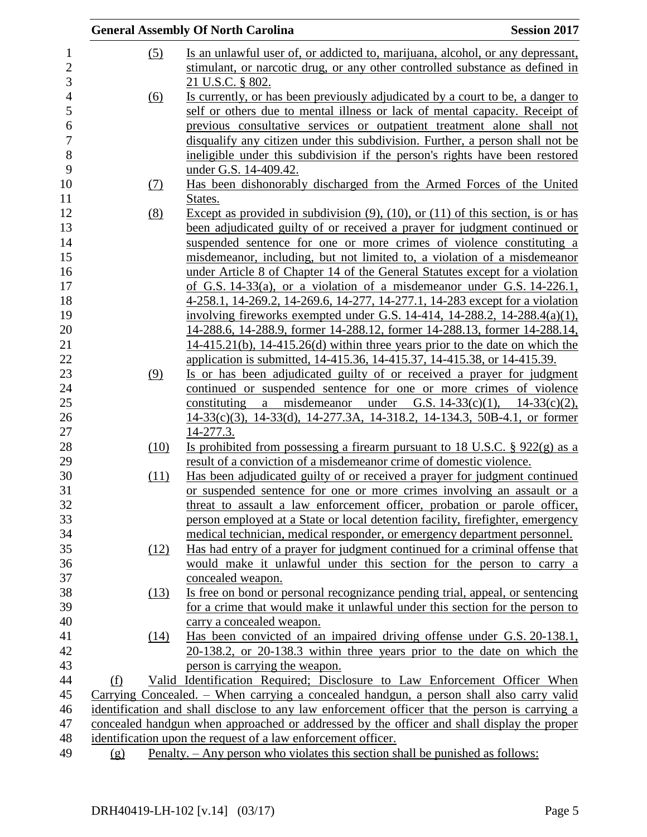|      | <b>General Assembly Of North Carolina</b>                                                      | <b>Session 2017</b>                  |
|------|------------------------------------------------------------------------------------------------|--------------------------------------|
| (5)  | Is an unlawful user of, or addicted to, marijuana, alcohol, or any depressant,                 |                                      |
|      | stimulant, or narcotic drug, or any other controlled substance as defined in                   |                                      |
|      | 21 U.S.C. § 802.                                                                               |                                      |
| (6)  | Is currently, or has been previously adjudicated by a court to be, a danger to                 |                                      |
|      | self or others due to mental illness or lack of mental capacity. Receipt of                    |                                      |
|      | previous consultative services or outpatient treatment alone shall not                         |                                      |
|      | disqualify any citizen under this subdivision. Further, a person shall not be                  |                                      |
|      | ineligible under this subdivision if the person's rights have been restored                    |                                      |
|      | under G.S. 14-409.42.                                                                          |                                      |
|      |                                                                                                |                                      |
| (7)  | Has been dishonorably discharged from the Armed Forces of the United                           |                                      |
|      | States.                                                                                        |                                      |
| (8)  | Except as provided in subdivision $(9)$ , $(10)$ , or $(11)$ of this section, is or has        |                                      |
|      | been adjudicated guilty of or received a prayer for judgment continued or                      |                                      |
|      | suspended sentence for one or more crimes of violence constituting a                           |                                      |
|      | misdemeanor, including, but not limited to, a violation of a misdemeanor                       |                                      |
|      | under Article 8 of Chapter 14 of the General Statutes except for a violation                   |                                      |
|      | of G.S. 14-33(a), or a violation of a misdemeanor under G.S. $14-226.1$ ,                      |                                      |
|      | 4-258.1, 14-269.2, 14-269.6, 14-277, 14-277.1, 14-283 except for a violation                   |                                      |
|      | involving fireworks exempted under G.S. 14-414, 14-288.2, 14-288.4(a)(1),                      |                                      |
|      | 14-288.6, 14-288.9, former 14-288.12, former 14-288.13, former 14-288.14,                      |                                      |
|      | $14-415.21(b)$ , $14-415.26(d)$ within three years prior to the date on which the              |                                      |
|      | application is submitted, 14-415.36, 14-415.37, 14-415.38, or 14-415.39.                       |                                      |
| (9)  | Is or has been adjudicated guilty of or received a prayer for judgment                         |                                      |
|      | continued or suspended sentence for one or more crimes of violence                             |                                      |
|      | misdemeanor under<br>constituting<br>a                                                         | G.S. $14-33(c)(1)$ , $14-33(c)(2)$ , |
|      | 14-33(c)(3), 14-33(d), 14-277.3A, 14-318.2, 14-134.3, 50B-4.1, or former                       |                                      |
|      | 14-277.3.                                                                                      |                                      |
| (10) | Is prohibited from possessing a firearm pursuant to 18 U.S.C. $\S$ 922(g) as a                 |                                      |
|      | result of a conviction of a misdemeanor crime of domestic violence.                            |                                      |
| (11) | Has been adjudicated guilty of or received a prayer for judgment continued                     |                                      |
|      | or suspended sentence for one or more crimes involving an assault or a                         |                                      |
|      | threat to assault a law enforcement officer, probation or parole officer,                      |                                      |
|      | person employed at a State or local detention facility, firefighter, emergency                 |                                      |
|      | medical technician, medical responder, or emergency department personnel.                      |                                      |
| (12) | Has had entry of a prayer for judgment continued for a criminal offense that                   |                                      |
|      | would make it unlawful under this section for the person to carry a                            |                                      |
|      | concealed weapon.                                                                              |                                      |
| (13) | Is free on bond or personal recognizance pending trial, appeal, or sentencing                  |                                      |
|      | for a crime that would make it unlawful under this section for the person to                   |                                      |
|      | carry a concealed weapon.                                                                      |                                      |
| (14) | Has been convicted of an impaired driving offense under G.S. 20-138.1,                         |                                      |
|      | 20-138.2, or 20-138.3 within three years prior to the date on which the                        |                                      |
|      |                                                                                                |                                      |
|      | person is carrying the weapon.                                                                 |                                      |
| (f)  | Valid Identification Required; Disclosure to Law Enforcement Officer When                      |                                      |
|      | Carrying Concealed. – When carrying a concealed handgun, a person shall also carry valid       |                                      |
|      | identification and shall disclose to any law enforcement officer that the person is carrying a |                                      |
|      | concealed handgun when approached or addressed by the officer and shall display the proper     |                                      |
|      | identification upon the request of a law enforcement officer.                                  |                                      |
| (g)  | Penalty. - Any person who violates this section shall be punished as follows:                  |                                      |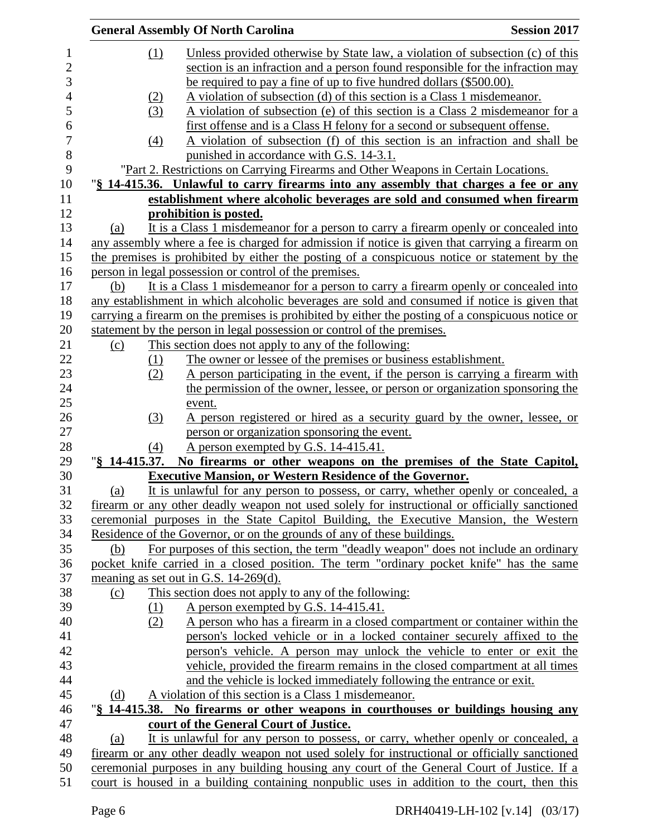|                   | <b>General Assembly Of North Carolina</b>                                                                                                                            | <b>Session 2017</b> |
|-------------------|----------------------------------------------------------------------------------------------------------------------------------------------------------------------|---------------------|
| (1)               | Unless provided otherwise by State law, a violation of subsection (c) of this                                                                                        |                     |
|                   | section is an infraction and a person found responsible for the infraction may                                                                                       |                     |
|                   | be required to pay a fine of up to five hundred dollars (\$500.00).                                                                                                  |                     |
|                   | A violation of subsection (d) of this section is a Class 1 misdemeanor.                                                                                              |                     |
| $\frac{(2)}{(3)}$ | A violation of subsection (e) of this section is a Class 2 misdemeanor for a                                                                                         |                     |
|                   | first offense and is a Class H felony for a second or subsequent offense.                                                                                            |                     |
|                   |                                                                                                                                                                      |                     |
| $\left(4\right)$  | A violation of subsection (f) of this section is an infraction and shall be                                                                                          |                     |
|                   | punished in accordance with G.S. 14-3.1.                                                                                                                             |                     |
|                   | "Part 2. Restrictions on Carrying Firearms and Other Weapons in Certain Locations.                                                                                   |                     |
|                   | "\\$ 14-415.36. Unlawful to carry firearms into any assembly that charges a fee or any<br>establishment where alcoholic beverages are sold and consumed when firearm |                     |
|                   | prohibition is posted.                                                                                                                                               |                     |
| (a)               | It is a Class 1 misdemeanor for a person to carry a firearm openly or concealed into                                                                                 |                     |
|                   | any assembly where a fee is charged for admission if notice is given that carrying a firearm on                                                                      |                     |
|                   |                                                                                                                                                                      |                     |
|                   | the premises is prohibited by either the posting of a conspicuous notice or statement by the                                                                         |                     |
|                   | person in legal possession or control of the premises.                                                                                                               |                     |
| (b)               | It is a Class 1 misdemeanor for a person to carry a firearm openly or concealed into                                                                                 |                     |
|                   | any establishment in which alcoholic beverages are sold and consumed if notice is given that                                                                         |                     |
|                   | carrying a firearm on the premises is prohibited by either the posting of a conspicuous notice or                                                                    |                     |
|                   | statement by the person in legal possession or control of the premises.                                                                                              |                     |
| (c)               | This section does not apply to any of the following:                                                                                                                 |                     |
| (1)               | The owner or lessee of the premises or business establishment.                                                                                                       |                     |
| (2)               | A person participating in the event, if the person is carrying a firearm with                                                                                        |                     |
|                   | the permission of the owner, lessee, or person or organization sponsoring the                                                                                        |                     |
|                   | event.                                                                                                                                                               |                     |
| (3)               | A person registered or hired as a security guard by the owner, lessee, or                                                                                            |                     |
|                   | person or organization sponsoring the event.                                                                                                                         |                     |
| (4)               | A person exempted by G.S. 14-415.41.                                                                                                                                 |                     |
| "§ 14-415.37.     | No firearms or other weapons on the premises of the State Capitol,                                                                                                   |                     |
|                   | <b>Executive Mansion, or Western Residence of the Governor.</b>                                                                                                      |                     |
| (a)               | It is unlawful for any person to possess, or carry, whether openly or concealed, a                                                                                   |                     |
|                   | firearm or any other deadly weapon not used solely for instructional or officially sanctioned                                                                        |                     |
|                   | ceremonial purposes in the State Capitol Building, the Executive Mansion, the Western                                                                                |                     |
|                   | Residence of the Governor, or on the grounds of any of these buildings.                                                                                              |                     |
| (b)               | For purposes of this section, the term "deadly weapon" does not include an ordinary                                                                                  |                     |
|                   | pocket knife carried in a closed position. The term "ordinary pocket knife" has the same                                                                             |                     |
|                   | meaning as set out in G.S. $14-269(d)$ .                                                                                                                             |                     |
| (c)               | This section does not apply to any of the following:                                                                                                                 |                     |
| $\Omega$          | A person exempted by G.S. 14-415.41.                                                                                                                                 |                     |
| (2)               | A person who has a firearm in a closed compartment or container within the                                                                                           |                     |
|                   | person's locked vehicle or in a locked container securely affixed to the                                                                                             |                     |
|                   | person's vehicle. A person may unlock the vehicle to enter or exit the                                                                                               |                     |
|                   | vehicle, provided the firearm remains in the closed compartment at all times                                                                                         |                     |
|                   | and the vehicle is locked immediately following the entrance or exit.                                                                                                |                     |
| (d)               | A violation of this section is a Class 1 misdemeanor.                                                                                                                |                     |
|                   | "\\$ 14-415.38. No firearms or other weapons in courthouses or buildings housing any                                                                                 |                     |
|                   | court of the General Court of Justice.                                                                                                                               |                     |
| (a)               | It is unlawful for any person to possess, or carry, whether openly or concealed, a                                                                                   |                     |
|                   | firearm or any other deadly weapon not used solely for instructional or officially sanctioned                                                                        |                     |
|                   | ceremonial purposes in any building housing any court of the General Court of Justice. If a                                                                          |                     |
|                   | court is housed in a building containing nonpublic uses in addition to the court, then this                                                                          |                     |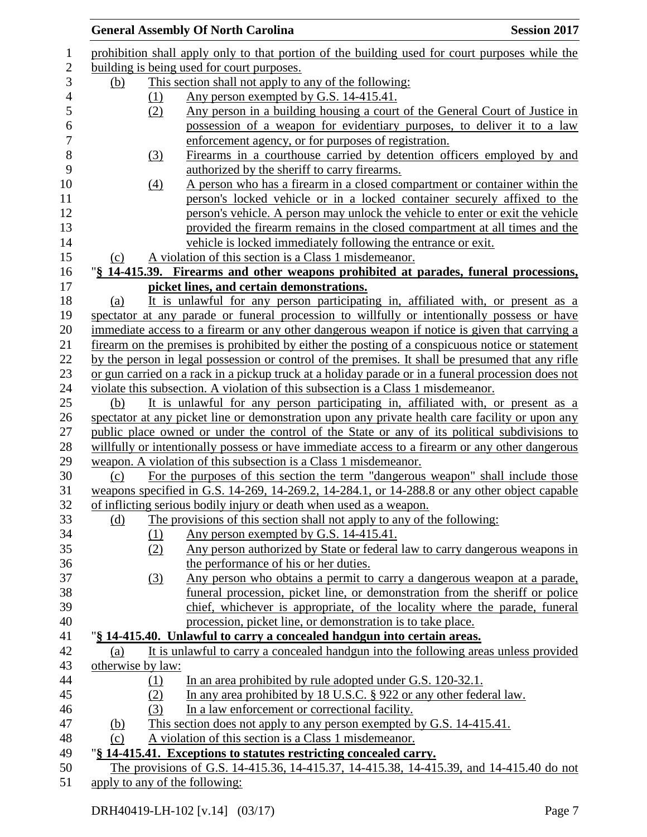|                   | <b>General Assembly Of North Carolina</b>                                                                                                                | <b>Session 2017</b> |
|-------------------|----------------------------------------------------------------------------------------------------------------------------------------------------------|---------------------|
|                   | prohibition shall apply only to that portion of the building used for court purposes while the                                                           |                     |
|                   | building is being used for court purposes.                                                                                                               |                     |
| (b)               | This section shall not apply to any of the following:                                                                                                    |                     |
| <u>(1)</u>        | Any person exempted by G.S. 14-415.41.                                                                                                                   |                     |
| (2)               | Any person in a building housing a court of the General Court of Justice in                                                                              |                     |
|                   | possession of a weapon for evidentiary purposes, to deliver it to a law                                                                                  |                     |
|                   | enforcement agency, or for purposes of registration.                                                                                                     |                     |
| (3)               | Firearms in a courthouse carried by detention officers employed by and                                                                                   |                     |
|                   | authorized by the sheriff to carry firearms.                                                                                                             |                     |
| (4)               | A person who has a firearm in a closed compartment or container within the                                                                               |                     |
|                   | person's locked vehicle or in a locked container securely affixed to the                                                                                 |                     |
|                   | person's vehicle. A person may unlock the vehicle to enter or exit the vehicle                                                                           |                     |
|                   | provided the firearm remains in the closed compartment at all times and the                                                                              |                     |
|                   | vehicle is locked immediately following the entrance or exit.                                                                                            |                     |
| (c)               | A violation of this section is a Class 1 misdemeanor.                                                                                                    |                     |
|                   | "§ 14-415.39. Firearms and other weapons prohibited at parades, funeral processions,                                                                     |                     |
|                   | picket lines, and certain demonstrations.                                                                                                                |                     |
| (a)               | It is unlawful for any person participating in, affiliated with, or present as a                                                                         |                     |
|                   | spectator at any parade or funeral procession to willfully or intentionally possess or have                                                              |                     |
|                   | immediate access to a firearm or any other dangerous weapon if notice is given that carrying a                                                           |                     |
|                   | firearm on the premises is prohibited by either the posting of a conspicuous notice or statement                                                         |                     |
|                   | by the person in legal possession or control of the premises. It shall be presumed that any rifle                                                        |                     |
|                   | or gun carried on a rack in a pickup truck at a holiday parade or in a funeral procession does not                                                       |                     |
|                   | violate this subsection. A violation of this subsection is a Class 1 misdemeanor.                                                                        |                     |
| (b)               | It is unlawful for any person participating in, affiliated with, or present as a                                                                         |                     |
|                   | spectator at any picket line or demonstration upon any private health care facility or upon any                                                          |                     |
|                   | public place owned or under the control of the State or any of its political subdivisions to                                                             |                     |
|                   | willfully or intentionally possess or have immediate access to a firearm or any other dangerous                                                          |                     |
|                   | weapon. A violation of this subsection is a Class 1 misdemeanor.                                                                                         |                     |
| (c)               | For the purposes of this section the term "dangerous weapon" shall include those                                                                         |                     |
|                   | weapons specified in G.S. 14-269, 14-269.2, 14-284.1, or 14-288.8 or any other object capable                                                            |                     |
|                   | of inflicting serious bodily injury or death when used as a weapon.                                                                                      |                     |
| (d)               | The provisions of this section shall not apply to any of the following:                                                                                  |                     |
| (1)               | Any person exempted by G.S. 14-415.41.                                                                                                                   |                     |
| (2)               | Any person authorized by State or federal law to carry dangerous weapons in                                                                              |                     |
|                   | the performance of his or her duties.                                                                                                                    |                     |
| (3)               | Any person who obtains a permit to carry a dangerous weapon at a parade,<br>funeral procession, picket line, or demonstration from the sheriff or police |                     |
|                   |                                                                                                                                                          |                     |
|                   | chief, whichever is appropriate, of the locality where the parade, funeral<br>procession, picket line, or demonstration is to take place.                |                     |
|                   | "§ 14-415.40. Unlawful to carry a concealed handgun into certain areas.                                                                                  |                     |
| (a)               | It is unlawful to carry a concealed handgun into the following areas unless provided                                                                     |                     |
| otherwise by law: |                                                                                                                                                          |                     |
| (1)               | In an area prohibited by rule adopted under G.S. 120-32.1.                                                                                               |                     |
| (2)               | In any area prohibited by 18 U.S.C. § 922 or any other federal law.                                                                                      |                     |
| (3)               | In a law enforcement or correctional facility.                                                                                                           |                     |
| (b)               | This section does not apply to any person exempted by G.S. 14-415.41.                                                                                    |                     |
| (c)               | A violation of this section is a Class 1 misdemeanor.                                                                                                    |                     |
|                   | "\\$\\ 14-415.41. Exceptions to statutes restricting concealed carry.                                                                                    |                     |
|                   | The provisions of G.S. 14-415.36, 14-415.37, 14-415.38, 14-415.39, and 14-415.40 do not                                                                  |                     |
|                   | apply to any of the following:                                                                                                                           |                     |
|                   |                                                                                                                                                          |                     |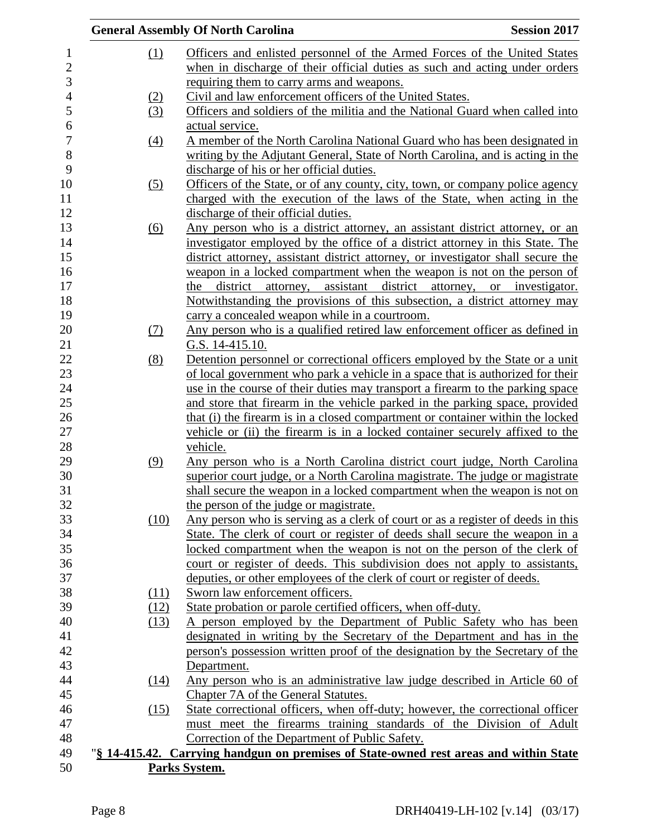|                   | <b>Session 2017</b><br><b>General Assembly Of North Carolina</b>                      |
|-------------------|---------------------------------------------------------------------------------------|
| (1)               | Officers and enlisted personnel of the Armed Forces of the United States              |
|                   | when in discharge of their official duties as such and acting under orders            |
|                   | requiring them to carry arms and weapons.                                             |
|                   | Civil and law enforcement officers of the United States.                              |
| (2)<br>(3)        | Officers and soldiers of the militia and the National Guard when called into          |
|                   |                                                                                       |
|                   | actual service.                                                                       |
| (4)               | A member of the North Carolina National Guard who has been designated in              |
|                   | writing by the Adjutant General, State of North Carolina, and is acting in the        |
|                   | discharge of his or her official duties.                                              |
| (5)               | Officers of the State, or of any county, city, town, or company police agency         |
|                   | charged with the execution of the laws of the State, when acting in the               |
|                   | discharge of their official duties.                                                   |
| $\underline{(6)}$ | Any person who is a district attorney, an assistant district attorney, or an          |
|                   | investigator employed by the office of a district attorney in this State. The         |
|                   | district attorney, assistant district attorney, or investigator shall secure the      |
|                   | weapon in a locked compartment when the weapon is not on the person of                |
|                   | attorney, assistant district attorney, or investigator.<br>the<br>district            |
|                   | Notwithstanding the provisions of this subsection, a district attorney may            |
|                   | carry a concealed weapon while in a courtroom.                                        |
| (7)               | Any person who is a qualified retired law enforcement officer as defined in           |
|                   | G.S. 14-415.10.                                                                       |
| (8)               | Detention personnel or correctional officers employed by the State or a unit          |
|                   | of local government who park a vehicle in a space that is authorized for their        |
|                   | use in the course of their duties may transport a firearm to the parking space        |
|                   | and store that firearm in the vehicle parked in the parking space, provided           |
|                   | that (i) the firearm is in a closed compartment or container within the locked        |
|                   | vehicle or (ii) the firearm is in a locked container securely affixed to the          |
|                   | vehicle.                                                                              |
| (9)               | Any person who is a North Carolina district court judge, North Carolina               |
|                   | superior court judge, or a North Carolina magistrate. The judge or magistrate         |
|                   | shall secure the weapon in a locked compartment when the weapon is not on             |
|                   | the person of the judge or magistrate.                                                |
| (10)              | Any person who is serving as a clerk of court or as a register of deeds in this       |
|                   | State. The clerk of court or register of deeds shall secure the weapon in a           |
|                   | locked compartment when the weapon is not on the person of the clerk of               |
|                   | court or register of deeds. This subdivision does not apply to assistants,            |
|                   | deputies, or other employees of the clerk of court or register of deeds.              |
| (11)              | Sworn law enforcement officers.                                                       |
| (12)              | State probation or parole certified officers, when off-duty.                          |
| (13)              | A person employed by the Department of Public Safety who has been                     |
|                   | designated in writing by the Secretary of the Department and has in the               |
|                   | person's possession written proof of the designation by the Secretary of the          |
|                   | Department.                                                                           |
| (14)              | Any person who is an administrative law judge described in Article 60 of              |
|                   | Chapter 7A of the General Statutes.                                                   |
| (15)              | State correctional officers, when off-duty; however, the correctional officer         |
|                   | must meet the firearms training standards of the Division of Adult                    |
|                   | Correction of the Department of Public Safety.                                        |
|                   | "§ 14-415.42. Carrying handgun on premises of State-owned rest areas and within State |
|                   | Parks System.                                                                         |
|                   |                                                                                       |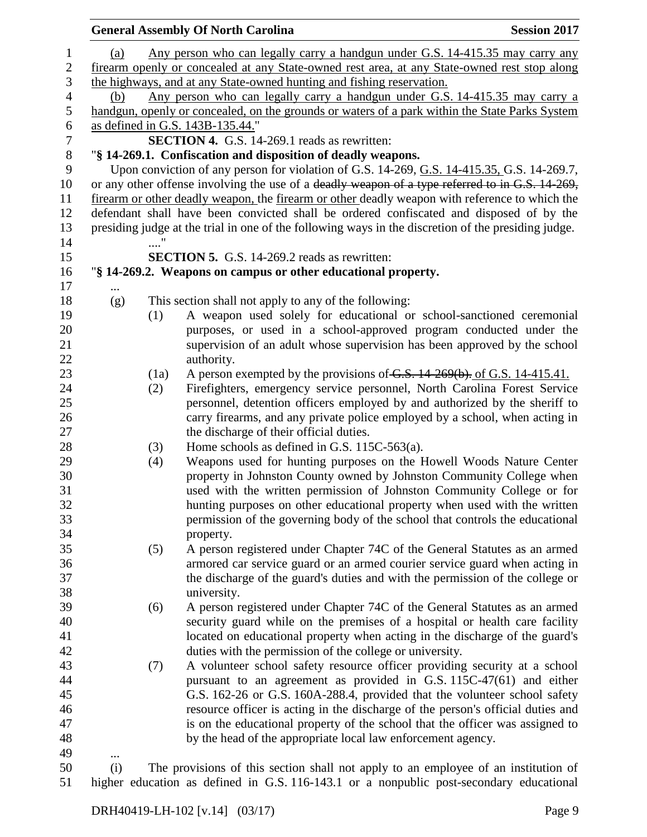|                |     |      | <b>General Assembly Of North Carolina</b>                                                           | <b>Session 2017</b> |
|----------------|-----|------|-----------------------------------------------------------------------------------------------------|---------------------|
| 1              | (a) |      | <u>Any person who can legally carry a handgun under G.S. 14-415.35 may carry any</u>                |                     |
| $\mathbf{2}$   |     |      | firearm openly or concealed at any State-owned rest area, at any State-owned rest stop along        |                     |
| $\mathfrak{Z}$ |     |      | the highways, and at any State-owned hunting and fishing reservation.                               |                     |
| $\overline{4}$ | (b) |      | Any person who can legally carry a handgun under G.S. 14-415.35 may carry a                         |                     |
| 5              |     |      | handgun, openly or concealed, on the grounds or waters of a park within the State Parks System      |                     |
| 6              |     |      | as defined in G.S. 143B-135.44."                                                                    |                     |
| $\overline{7}$ |     |      | <b>SECTION 4.</b> G.S. 14-269.1 reads as rewritten:                                                 |                     |
| $8\,$          |     |      | "§ 14-269.1. Confiscation and disposition of deadly weapons.                                        |                     |
| 9              |     |      | Upon conviction of any person for violation of G.S. 14-269, G.S. 14-415.35, G.S. 14-269.7,          |                     |
| 10             |     |      | or any other offense involving the use of a deadly weapon of a type referred to in G.S. 14-269,     |                     |
| 11             |     |      | firearm or other deadly weapon, the firearm or other deadly weapon with reference to which the      |                     |
| 12             |     |      | defendant shall have been convicted shall be ordered confiscated and disposed of by the             |                     |
| 13             |     |      | presiding judge at the trial in one of the following ways in the discretion of the presiding judge. |                     |
| 14             |     |      |                                                                                                     |                     |
| 15             |     |      | <b>SECTION 5.</b> G.S. 14-269.2 reads as rewritten:                                                 |                     |
| 16             |     |      | "§ 14-269.2. Weapons on campus or other educational property.                                       |                     |
| 17             |     |      |                                                                                                     |                     |
| 18             | (g) |      | This section shall not apply to any of the following:                                               |                     |
| 19             |     | (1)  | A weapon used solely for educational or school-sanctioned ceremonial                                |                     |
| 20             |     |      | purposes, or used in a school-approved program conducted under the                                  |                     |
| 21             |     |      | supervision of an adult whose supervision has been approved by the school                           |                     |
| 22             |     |      | authority.                                                                                          |                     |
| 23             |     | (1a) | A person exempted by the provisions of G.S. 14-269(b). of G.S. 14-415.41.                           |                     |
| 24             |     | (2)  | Firefighters, emergency service personnel, North Carolina Forest Service                            |                     |
| 25             |     |      | personnel, detention officers employed by and authorized by the sheriff to                          |                     |
| 26             |     |      | carry firearms, and any private police employed by a school, when acting in                         |                     |
| 27             |     |      | the discharge of their official duties.                                                             |                     |
| 28             |     | (3)  | Home schools as defined in G.S. 115C-563(a).                                                        |                     |
| 29             |     | (4)  | Weapons used for hunting purposes on the Howell Woods Nature Center                                 |                     |
| 30             |     |      | property in Johnston County owned by Johnston Community College when                                |                     |
| 31             |     |      | used with the written permission of Johnston Community College or for                               |                     |
| 32             |     |      | hunting purposes on other educational property when used with the written                           |                     |
| 33             |     |      | permission of the governing body of the school that controls the educational                        |                     |
| 34             |     |      | property.                                                                                           |                     |
| 35             |     | (5)  | A person registered under Chapter 74C of the General Statutes as an armed                           |                     |
| 36             |     |      | armored car service guard or an armed courier service guard when acting in                          |                     |
| 37             |     |      | the discharge of the guard's duties and with the permission of the college or                       |                     |
| 38             |     |      | university.                                                                                         |                     |
| 39             |     | (6)  | A person registered under Chapter 74C of the General Statutes as an armed                           |                     |
| 40             |     |      | security guard while on the premises of a hospital or health care facility                          |                     |
| 41             |     |      | located on educational property when acting in the discharge of the guard's                         |                     |
| 42             |     |      | duties with the permission of the college or university.                                            |                     |
| 43             |     | (7)  | A volunteer school safety resource officer providing security at a school                           |                     |
| 44             |     |      | pursuant to an agreement as provided in G.S. 115C-47(61) and either                                 |                     |
| 45             |     |      | G.S. 162-26 or G.S. 160A-288.4, provided that the volunteer school safety                           |                     |
| 46             |     |      | resource officer is acting in the discharge of the person's official duties and                     |                     |
| 47             |     |      | is on the educational property of the school that the officer was assigned to                       |                     |
| 48             |     |      | by the head of the appropriate local law enforcement agency.                                        |                     |
| 49             |     |      |                                                                                                     |                     |
| 50             | (i) |      | The provisions of this section shall not apply to an employee of an institution of                  |                     |
| 51             |     |      | higher education as defined in G.S. 116-143.1 or a nonpublic post-secondary educational             |                     |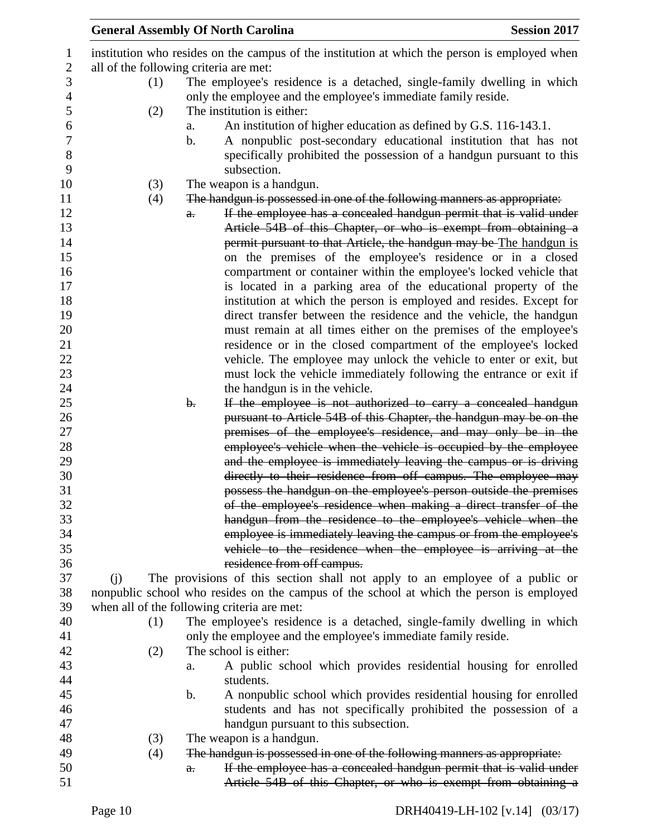|     | <b>General Assembly Of North Carolina</b>                                                     | <b>Session 2017</b> |
|-----|-----------------------------------------------------------------------------------------------|---------------------|
|     | institution who resides on the campus of the institution at which the person is employed when |                     |
|     | all of the following criteria are met:                                                        |                     |
| (1) | The employee's residence is a detached, single-family dwelling in which                       |                     |
|     | only the employee and the employee's immediate family reside.                                 |                     |
| (2) | The institution is either:                                                                    |                     |
|     | An institution of higher education as defined by G.S. 116-143.1.<br>a.                        |                     |
|     | b.                                                                                            |                     |
|     | A nonpublic post-secondary educational institution that has not                               |                     |
|     | specifically prohibited the possession of a handgun pursuant to this                          |                     |
|     | subsection.                                                                                   |                     |
| (3) | The weapon is a handgun.                                                                      |                     |
| (4) | The handgun is possessed in one of the following manners as appropriate:                      |                     |
|     | If the employee has a concealed handgun permit that is valid under<br>$\theta$ .              |                     |
|     | Article 54B of this Chapter, or who is exempt from obtaining a                                |                     |
|     | permit pursuant to that Article, the handgun may be The handgun is                            |                     |
|     | on the premises of the employee's residence or in a closed                                    |                     |
|     | compartment or container within the employee's locked vehicle that                            |                     |
|     | is located in a parking area of the educational property of the                               |                     |
|     | institution at which the person is employed and resides. Except for                           |                     |
|     | direct transfer between the residence and the vehicle, the handgun                            |                     |
|     | must remain at all times either on the premises of the employee's                             |                     |
|     | residence or in the closed compartment of the employee's locked                               |                     |
|     | vehicle. The employee may unlock the vehicle to enter or exit, but                            |                     |
|     | must lock the vehicle immediately following the entrance or exit if                           |                     |
|     | the handgun is in the vehicle.                                                                |                     |
|     | If the employee is not authorized to carry a concealed handgun<br>b.                          |                     |
|     | pursuant to Article 54B of this Chapter, the handgun may be on the                            |                     |
|     | premises of the employee's residence, and may only be in the                                  |                     |
|     | employee's vehicle when the vehicle is occupied by the employee                               |                     |
|     | and the employee is immediately leaving the campus or is driving                              |                     |
|     | directly to their residence from off campus. The employee may                                 |                     |
|     | possess the handgun on the employee's person outside the premises                             |                     |
|     | of the employee's residence when making a direct transfer of the                              |                     |
|     | handgun from the residence to the employee's vehicle when the                                 |                     |
|     | employee is immediately leaving the campus or from the employee's                             |                     |
|     | vehicle to the residence when the employee is arriving at the                                 |                     |
|     | residence from off campus.                                                                    |                     |
| (i) | The provisions of this section shall not apply to an employee of a public or                  |                     |
|     | nonpublic school who resides on the campus of the school at which the person is employed      |                     |
|     | when all of the following criteria are met:                                                   |                     |
| (1) | The employee's residence is a detached, single-family dwelling in which                       |                     |
|     | only the employee and the employee's immediate family reside.                                 |                     |
| (2) | The school is either:                                                                         |                     |
|     | A public school which provides residential housing for enrolled<br>a.                         |                     |
|     | students.                                                                                     |                     |
|     | b.<br>A nonpublic school which provides residential housing for enrolled                      |                     |
|     | students and has not specifically prohibited the possession of a                              |                     |
|     | handgun pursuant to this subsection.                                                          |                     |
| (3) | The weapon is a handgun.                                                                      |                     |
| (4) | The handgun is possessed in one of the following manners as appropriate:                      |                     |
|     | If the employee has a concealed handgun permit that is valid under<br>a.                      |                     |
|     | Article 54B of this Chapter, or who is exempt from obtaining a                                |                     |
|     |                                                                                               |                     |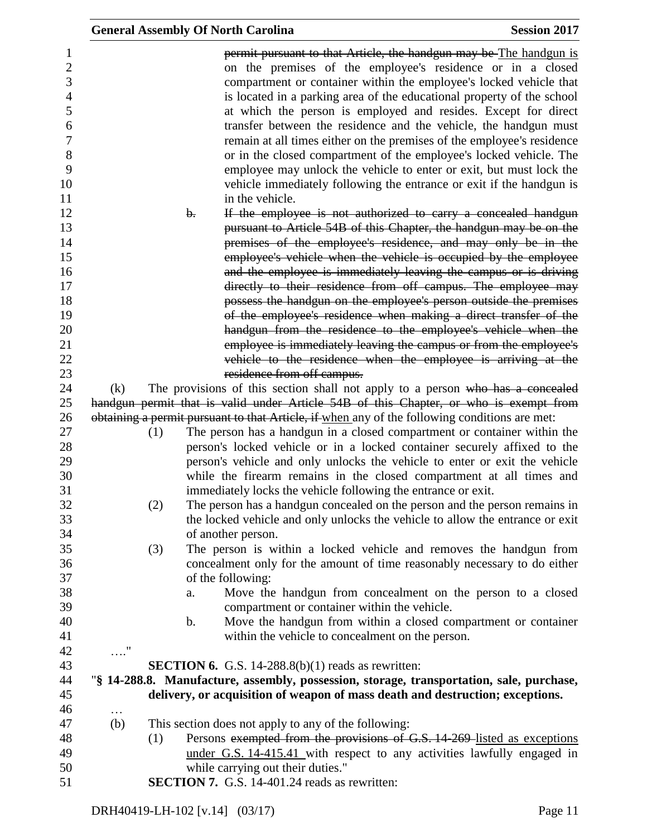|                               | <b>General Assembly Of North Carolina</b>                                                                                                                                                                           | <b>Session 2017</b> |
|-------------------------------|---------------------------------------------------------------------------------------------------------------------------------------------------------------------------------------------------------------------|---------------------|
|                               | permit pursuant to that Article, the handgun may be-The handgun is                                                                                                                                                  |                     |
|                               | on the premises of the employee's residence or in a closed<br>compartment or container within the employee's locked vehicle that<br>is located in a parking area of the educational property of the school          |                     |
|                               | at which the person is employed and resides. Except for direct<br>transfer between the residence and the vehicle, the handgun must                                                                                  |                     |
|                               | remain at all times either on the premises of the employee's residence<br>or in the closed compartment of the employee's locked vehicle. The<br>employee may unlock the vehicle to enter or exit, but must lock the |                     |
|                               | vehicle immediately following the entrance or exit if the handgun is<br>in the vehicle.                                                                                                                             |                     |
|                               | If the employee is not authorized to carry a concealed handgun<br>b.                                                                                                                                                |                     |
|                               | pursuant to Article 54B of this Chapter, the handgun may be on the<br>premises of the employee's residence, and may only be in the                                                                                  |                     |
|                               | employee's vehicle when the vehicle is occupied by the employee<br>and the employee is immediately leaving the campus or is driving                                                                                 |                     |
|                               | directly to their residence from off campus. The employee may                                                                                                                                                       |                     |
|                               | possess the handgun on the employee's person outside the premises                                                                                                                                                   |                     |
|                               | of the employee's residence when making a direct transfer of the                                                                                                                                                    |                     |
|                               | handgun from the residence to the employee's vehicle when the                                                                                                                                                       |                     |
|                               | employee is immediately leaving the campus or from the employee's                                                                                                                                                   |                     |
|                               | vehicle to the residence when the employee is arriving at the                                                                                                                                                       |                     |
| (k)                           | residence from off campus.<br>The provisions of this section shall not apply to a person who has a concealed                                                                                                        |                     |
|                               | handgun permit that is valid under Article 54B of this Chapter, or who is exempt from                                                                                                                               |                     |
|                               | obtaining a permit pursuant to that Article, if when any of the following conditions are met:                                                                                                                       |                     |
|                               | The person has a handgun in a closed compartment or container within the<br>(1)                                                                                                                                     |                     |
|                               | person's locked vehicle or in a locked container securely affixed to the                                                                                                                                            |                     |
|                               | person's vehicle and only unlocks the vehicle to enter or exit the vehicle                                                                                                                                          |                     |
|                               | while the firearm remains in the closed compartment at all times and                                                                                                                                                |                     |
|                               | immediately locks the vehicle following the entrance or exit.                                                                                                                                                       |                     |
|                               | The person has a handgun concealed on the person and the person remains in<br>(2)                                                                                                                                   |                     |
|                               | the locked vehicle and only unlocks the vehicle to allow the entrance or exit                                                                                                                                       |                     |
|                               | of another person.<br>(3)<br>The person is within a locked vehicle and removes the handgun from                                                                                                                     |                     |
|                               | concealment only for the amount of time reasonably necessary to do either                                                                                                                                           |                     |
|                               | of the following:                                                                                                                                                                                                   |                     |
|                               | Move the handgun from concealment on the person to a closed<br>a.                                                                                                                                                   |                     |
|                               | compartment or container within the vehicle.                                                                                                                                                                        |                     |
|                               | Move the handgun from within a closed compartment or container<br>b.                                                                                                                                                |                     |
|                               | within the vehicle to concealment on the person.                                                                                                                                                                    |                     |
| $^{\prime\prime}$<br>$\cdots$ |                                                                                                                                                                                                                     |                     |
|                               | <b>SECTION 6.</b> G.S. 14-288.8(b) $(1)$ reads as rewritten:                                                                                                                                                        |                     |
|                               | "§ 14-288.8. Manufacture, assembly, possession, storage, transportation, sale, purchase,                                                                                                                            |                     |
|                               | delivery, or acquisition of weapon of mass death and destruction; exceptions.                                                                                                                                       |                     |
| $\cdots$                      |                                                                                                                                                                                                                     |                     |
| (b)                           | This section does not apply to any of the following:<br>Persons exempted from the provisions of G.S. 14-269-listed as exceptions<br>(1)                                                                             |                     |
|                               | under G.S. 14-415.41 with respect to any activities lawfully engaged in                                                                                                                                             |                     |
|                               | while carrying out their duties."                                                                                                                                                                                   |                     |
|                               | <b>SECTION 7.</b> G.S. 14-401.24 reads as rewritten:                                                                                                                                                                |                     |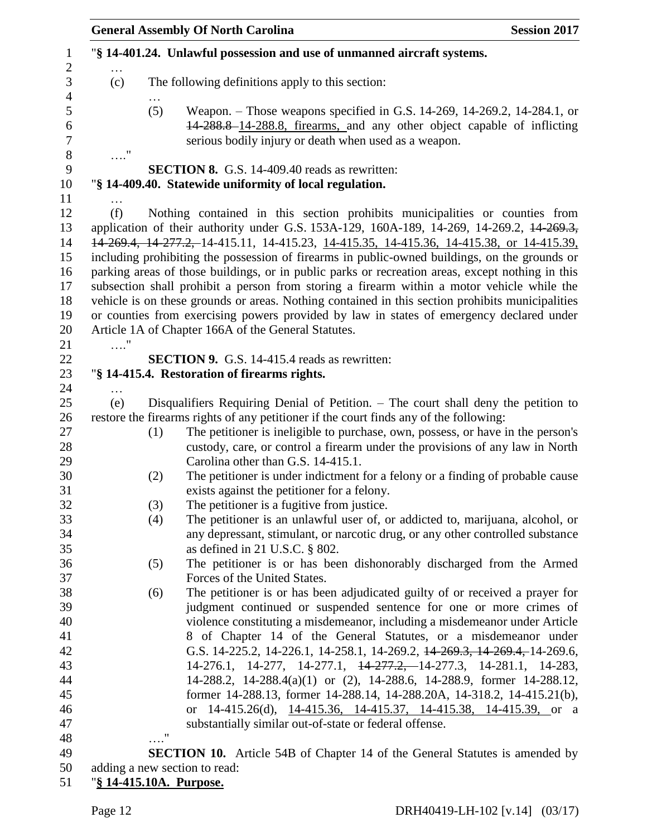| "§ 14-401.24. Unlawful possession and use of unmanned aircraft systems.<br>The following definitions apply to this section:<br>(c)<br>Weapon. – Those weapons specified in G.S. 14-269, 14-269.2, 14-284.1, or<br>(5)<br>14-288.8-14-288.8, firearms, and any other object capable of inflicting<br>serious bodily injury or death when used as a weapon.<br>$\ldots$ "<br><b>SECTION 8.</b> G.S. 14-409.40 reads as rewritten:<br>"§ 14-409.40. Statewide uniformity of local regulation.<br>Nothing contained in this section prohibits municipalities or counties from<br>(f)<br>application of their authority under G.S. 153A-129, 160A-189, 14-269, 14-269.2, 14-269.3,<br>14-269.4, 14-277.2, 14-415.11, 14-415.23, 14-415.35, 14-415.36, 14-415.38, or 14-415.39,<br>including prohibiting the possession of firearms in public-owned buildings, on the grounds or<br>parking areas of those buildings, or in public parks or recreation areas, except nothing in this<br>subsection shall prohibit a person from storing a firearm within a motor vehicle while the<br>vehicle is on these grounds or areas. Nothing contained in this section prohibits municipalities<br>or counties from exercising powers provided by law in states of emergency declared under<br>Article 1A of Chapter 166A of the General Statutes.<br>$\ldots$ "<br><b>SECTION 9.</b> G.S. 14-415.4 reads as rewritten:<br>"§ 14-415.4. Restoration of firearms rights.<br>.<br>Disqualifiers Requiring Denial of Petition. - The court shall deny the petition to<br>(e)<br>restore the firearms rights of any petitioner if the court finds any of the following:<br>The petitioner is ineligible to purchase, own, possess, or have in the person's<br>(1)<br>custody, care, or control a firearm under the provisions of any law in North |
|--------------------------------------------------------------------------------------------------------------------------------------------------------------------------------------------------------------------------------------------------------------------------------------------------------------------------------------------------------------------------------------------------------------------------------------------------------------------------------------------------------------------------------------------------------------------------------------------------------------------------------------------------------------------------------------------------------------------------------------------------------------------------------------------------------------------------------------------------------------------------------------------------------------------------------------------------------------------------------------------------------------------------------------------------------------------------------------------------------------------------------------------------------------------------------------------------------------------------------------------------------------------------------------------------------------------------------------------------------------------------------------------------------------------------------------------------------------------------------------------------------------------------------------------------------------------------------------------------------------------------------------------------------------------------------------------------------------------------------------------------------------------------------------------------------------------------------|
|                                                                                                                                                                                                                                                                                                                                                                                                                                                                                                                                                                                                                                                                                                                                                                                                                                                                                                                                                                                                                                                                                                                                                                                                                                                                                                                                                                                                                                                                                                                                                                                                                                                                                                                                                                                                                                |
|                                                                                                                                                                                                                                                                                                                                                                                                                                                                                                                                                                                                                                                                                                                                                                                                                                                                                                                                                                                                                                                                                                                                                                                                                                                                                                                                                                                                                                                                                                                                                                                                                                                                                                                                                                                                                                |
|                                                                                                                                                                                                                                                                                                                                                                                                                                                                                                                                                                                                                                                                                                                                                                                                                                                                                                                                                                                                                                                                                                                                                                                                                                                                                                                                                                                                                                                                                                                                                                                                                                                                                                                                                                                                                                |
|                                                                                                                                                                                                                                                                                                                                                                                                                                                                                                                                                                                                                                                                                                                                                                                                                                                                                                                                                                                                                                                                                                                                                                                                                                                                                                                                                                                                                                                                                                                                                                                                                                                                                                                                                                                                                                |
|                                                                                                                                                                                                                                                                                                                                                                                                                                                                                                                                                                                                                                                                                                                                                                                                                                                                                                                                                                                                                                                                                                                                                                                                                                                                                                                                                                                                                                                                                                                                                                                                                                                                                                                                                                                                                                |
|                                                                                                                                                                                                                                                                                                                                                                                                                                                                                                                                                                                                                                                                                                                                                                                                                                                                                                                                                                                                                                                                                                                                                                                                                                                                                                                                                                                                                                                                                                                                                                                                                                                                                                                                                                                                                                |
|                                                                                                                                                                                                                                                                                                                                                                                                                                                                                                                                                                                                                                                                                                                                                                                                                                                                                                                                                                                                                                                                                                                                                                                                                                                                                                                                                                                                                                                                                                                                                                                                                                                                                                                                                                                                                                |
|                                                                                                                                                                                                                                                                                                                                                                                                                                                                                                                                                                                                                                                                                                                                                                                                                                                                                                                                                                                                                                                                                                                                                                                                                                                                                                                                                                                                                                                                                                                                                                                                                                                                                                                                                                                                                                |
|                                                                                                                                                                                                                                                                                                                                                                                                                                                                                                                                                                                                                                                                                                                                                                                                                                                                                                                                                                                                                                                                                                                                                                                                                                                                                                                                                                                                                                                                                                                                                                                                                                                                                                                                                                                                                                |
|                                                                                                                                                                                                                                                                                                                                                                                                                                                                                                                                                                                                                                                                                                                                                                                                                                                                                                                                                                                                                                                                                                                                                                                                                                                                                                                                                                                                                                                                                                                                                                                                                                                                                                                                                                                                                                |
|                                                                                                                                                                                                                                                                                                                                                                                                                                                                                                                                                                                                                                                                                                                                                                                                                                                                                                                                                                                                                                                                                                                                                                                                                                                                                                                                                                                                                                                                                                                                                                                                                                                                                                                                                                                                                                |
|                                                                                                                                                                                                                                                                                                                                                                                                                                                                                                                                                                                                                                                                                                                                                                                                                                                                                                                                                                                                                                                                                                                                                                                                                                                                                                                                                                                                                                                                                                                                                                                                                                                                                                                                                                                                                                |
|                                                                                                                                                                                                                                                                                                                                                                                                                                                                                                                                                                                                                                                                                                                                                                                                                                                                                                                                                                                                                                                                                                                                                                                                                                                                                                                                                                                                                                                                                                                                                                                                                                                                                                                                                                                                                                |
|                                                                                                                                                                                                                                                                                                                                                                                                                                                                                                                                                                                                                                                                                                                                                                                                                                                                                                                                                                                                                                                                                                                                                                                                                                                                                                                                                                                                                                                                                                                                                                                                                                                                                                                                                                                                                                |
|                                                                                                                                                                                                                                                                                                                                                                                                                                                                                                                                                                                                                                                                                                                                                                                                                                                                                                                                                                                                                                                                                                                                                                                                                                                                                                                                                                                                                                                                                                                                                                                                                                                                                                                                                                                                                                |
| Carolina other than G.S. 14-415.1.                                                                                                                                                                                                                                                                                                                                                                                                                                                                                                                                                                                                                                                                                                                                                                                                                                                                                                                                                                                                                                                                                                                                                                                                                                                                                                                                                                                                                                                                                                                                                                                                                                                                                                                                                                                             |
| The petitioner is under indictment for a felony or a finding of probable cause<br>(2)                                                                                                                                                                                                                                                                                                                                                                                                                                                                                                                                                                                                                                                                                                                                                                                                                                                                                                                                                                                                                                                                                                                                                                                                                                                                                                                                                                                                                                                                                                                                                                                                                                                                                                                                          |
| exists against the petitioner for a felony.                                                                                                                                                                                                                                                                                                                                                                                                                                                                                                                                                                                                                                                                                                                                                                                                                                                                                                                                                                                                                                                                                                                                                                                                                                                                                                                                                                                                                                                                                                                                                                                                                                                                                                                                                                                    |
| (3)<br>The petitioner is a fugitive from justice.                                                                                                                                                                                                                                                                                                                                                                                                                                                                                                                                                                                                                                                                                                                                                                                                                                                                                                                                                                                                                                                                                                                                                                                                                                                                                                                                                                                                                                                                                                                                                                                                                                                                                                                                                                              |
| The petitioner is an unlawful user of, or addicted to, marijuana, alcohol, or<br>(4)<br>any depressant, stimulant, or narcotic drug, or any other controlled substance<br>as defined in 21 U.S.C. $\S$ 802.                                                                                                                                                                                                                                                                                                                                                                                                                                                                                                                                                                                                                                                                                                                                                                                                                                                                                                                                                                                                                                                                                                                                                                                                                                                                                                                                                                                                                                                                                                                                                                                                                    |
| The petitioner is or has been dishonorably discharged from the Armed<br>(5)                                                                                                                                                                                                                                                                                                                                                                                                                                                                                                                                                                                                                                                                                                                                                                                                                                                                                                                                                                                                                                                                                                                                                                                                                                                                                                                                                                                                                                                                                                                                                                                                                                                                                                                                                    |
| Forces of the United States.                                                                                                                                                                                                                                                                                                                                                                                                                                                                                                                                                                                                                                                                                                                                                                                                                                                                                                                                                                                                                                                                                                                                                                                                                                                                                                                                                                                                                                                                                                                                                                                                                                                                                                                                                                                                   |
| The petitioner is or has been adjudicated guilty of or received a prayer for<br>(6)                                                                                                                                                                                                                                                                                                                                                                                                                                                                                                                                                                                                                                                                                                                                                                                                                                                                                                                                                                                                                                                                                                                                                                                                                                                                                                                                                                                                                                                                                                                                                                                                                                                                                                                                            |
| judgment continued or suspended sentence for one or more crimes of                                                                                                                                                                                                                                                                                                                                                                                                                                                                                                                                                                                                                                                                                                                                                                                                                                                                                                                                                                                                                                                                                                                                                                                                                                                                                                                                                                                                                                                                                                                                                                                                                                                                                                                                                             |
| violence constituting a misdemeanor, including a misdemeanor under Article                                                                                                                                                                                                                                                                                                                                                                                                                                                                                                                                                                                                                                                                                                                                                                                                                                                                                                                                                                                                                                                                                                                                                                                                                                                                                                                                                                                                                                                                                                                                                                                                                                                                                                                                                     |
| 8 of Chapter 14 of the General Statutes, or a misdemeanor under                                                                                                                                                                                                                                                                                                                                                                                                                                                                                                                                                                                                                                                                                                                                                                                                                                                                                                                                                                                                                                                                                                                                                                                                                                                                                                                                                                                                                                                                                                                                                                                                                                                                                                                                                                |
| G.S. 14-225.2, 14-226.1, 14-258.1, 14-269.2, <del>14-269.3, 14-269.4,</del> 14-269.6,                                                                                                                                                                                                                                                                                                                                                                                                                                                                                                                                                                                                                                                                                                                                                                                                                                                                                                                                                                                                                                                                                                                                                                                                                                                                                                                                                                                                                                                                                                                                                                                                                                                                                                                                          |
| 14-276.1, 14-277, 14-277.1, <del>14-277.2, </del> 14-277.3, 14-281.1, 14-283,                                                                                                                                                                                                                                                                                                                                                                                                                                                                                                                                                                                                                                                                                                                                                                                                                                                                                                                                                                                                                                                                                                                                                                                                                                                                                                                                                                                                                                                                                                                                                                                                                                                                                                                                                  |
| 14-288.2, 14-288.4(a)(1) or (2), 14-288.6, 14-288.9, former 14-288.12,                                                                                                                                                                                                                                                                                                                                                                                                                                                                                                                                                                                                                                                                                                                                                                                                                                                                                                                                                                                                                                                                                                                                                                                                                                                                                                                                                                                                                                                                                                                                                                                                                                                                                                                                                         |
| former 14-288.13, former 14-288.14, 14-288.20A, 14-318.2, 14-415.21(b),                                                                                                                                                                                                                                                                                                                                                                                                                                                                                                                                                                                                                                                                                                                                                                                                                                                                                                                                                                                                                                                                                                                                                                                                                                                                                                                                                                                                                                                                                                                                                                                                                                                                                                                                                        |
| or 14-415.26(d), 14-415.36, 14-415.37, 14-415.38, 14-415.39, or a                                                                                                                                                                                                                                                                                                                                                                                                                                                                                                                                                                                                                                                                                                                                                                                                                                                                                                                                                                                                                                                                                                                                                                                                                                                                                                                                                                                                                                                                                                                                                                                                                                                                                                                                                              |
| substantially similar out-of-state or federal offense.<br>Ħ                                                                                                                                                                                                                                                                                                                                                                                                                                                                                                                                                                                                                                                                                                                                                                                                                                                                                                                                                                                                                                                                                                                                                                                                                                                                                                                                                                                                                                                                                                                                                                                                                                                                                                                                                                    |
| <b>SECTION 10.</b> Article 54B of Chapter 14 of the General Statutes is amended by                                                                                                                                                                                                                                                                                                                                                                                                                                                                                                                                                                                                                                                                                                                                                                                                                                                                                                                                                                                                                                                                                                                                                                                                                                                                                                                                                                                                                                                                                                                                                                                                                                                                                                                                             |
| adding a new section to read:                                                                                                                                                                                                                                                                                                                                                                                                                                                                                                                                                                                                                                                                                                                                                                                                                                                                                                                                                                                                                                                                                                                                                                                                                                                                                                                                                                                                                                                                                                                                                                                                                                                                                                                                                                                                  |
| "§ 14-415.10A. Purpose.                                                                                                                                                                                                                                                                                                                                                                                                                                                                                                                                                                                                                                                                                                                                                                                                                                                                                                                                                                                                                                                                                                                                                                                                                                                                                                                                                                                                                                                                                                                                                                                                                                                                                                                                                                                                        |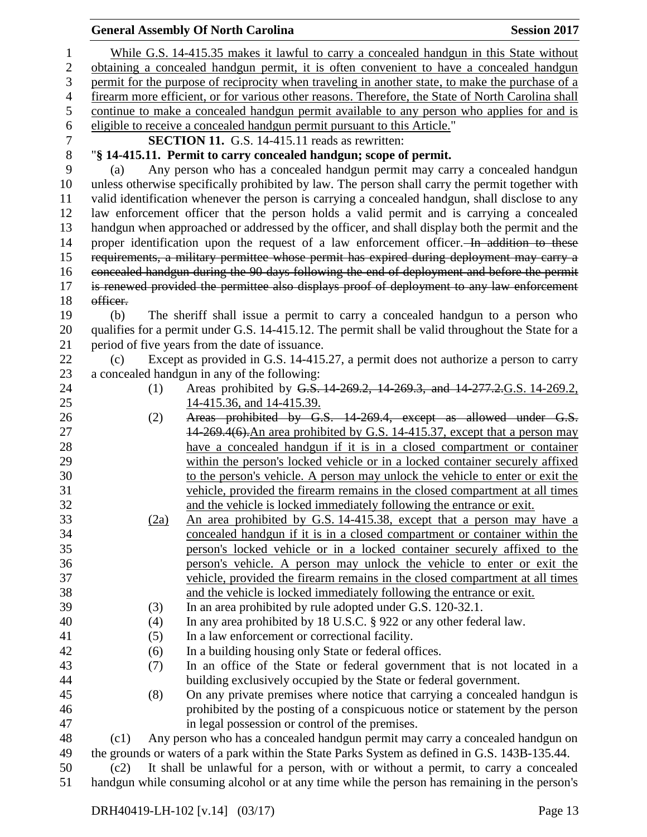## **General Assembly Of North Carolina Session 2017**

| 1              |                                                                                                    |      | While G.S. 14-415.35 makes it lawful to carry a concealed handgun in this State without           |  |  |  |
|----------------|----------------------------------------------------------------------------------------------------|------|---------------------------------------------------------------------------------------------------|--|--|--|
| $\overline{2}$ | obtaining a concealed handgun permit, it is often convenient to have a concealed handgun           |      |                                                                                                   |  |  |  |
| 3              | permit for the purpose of reciprocity when traveling in another state, to make the purchase of a   |      |                                                                                                   |  |  |  |
| $\overline{4}$ | firearm more efficient, or for various other reasons. Therefore, the State of North Carolina shall |      |                                                                                                   |  |  |  |
| 5              |                                                                                                    |      | continue to make a concealed handgun permit available to any person who applies for and is        |  |  |  |
| 6              |                                                                                                    |      | eligible to receive a concealed handgun permit pursuant to this Article."                         |  |  |  |
| 7              |                                                                                                    |      | <b>SECTION 11.</b> G.S. 14-415.11 reads as rewritten:                                             |  |  |  |
| $8\,$          |                                                                                                    |      | "\\$14-415.11. Permit to carry concealed handgun; scope of permit.                                |  |  |  |
| 9              | (a)                                                                                                |      | Any person who has a concealed handgun permit may carry a concealed handgun                       |  |  |  |
| 10             |                                                                                                    |      | unless otherwise specifically prohibited by law. The person shall carry the permit together with  |  |  |  |
| 11             | valid identification whenever the person is carrying a concealed handgun, shall disclose to any    |      |                                                                                                   |  |  |  |
| 12             |                                                                                                    |      | law enforcement officer that the person holds a valid permit and is carrying a concealed          |  |  |  |
| 13             |                                                                                                    |      | handgun when approached or addressed by the officer, and shall display both the permit and the    |  |  |  |
| 14             |                                                                                                    |      | proper identification upon the request of a law enforcement officer. In addition to these         |  |  |  |
| 15             |                                                                                                    |      | requirements, a military permittee whose permit has expired during deployment may carry a         |  |  |  |
| 16             |                                                                                                    |      | concealed handgun during the 90 days following the end of deployment and before the permit        |  |  |  |
| 17             |                                                                                                    |      | is renewed provided the permittee also displays proof of deployment to any law enforcement        |  |  |  |
| 18             | officer.                                                                                           |      |                                                                                                   |  |  |  |
| 19             | (b)                                                                                                |      | The sheriff shall issue a permit to carry a concealed handgun to a person who                     |  |  |  |
| 20             |                                                                                                    |      | qualifies for a permit under G.S. 14-415.12. The permit shall be valid throughout the State for a |  |  |  |
| 21             |                                                                                                    |      | period of five years from the date of issuance.                                                   |  |  |  |
| 22             | (c)                                                                                                |      | Except as provided in G.S. 14-415.27, a permit does not authorize a person to carry               |  |  |  |
| 23             |                                                                                                    |      | a concealed handgun in any of the following:                                                      |  |  |  |
| 24             |                                                                                                    | (1)  | Areas prohibited by G.S. 14-269.2, 14-269.3, and 14-277.2.G.S. 14-269.2,                          |  |  |  |
| 25             |                                                                                                    |      | 14-415.36, and 14-415.39.                                                                         |  |  |  |
| 26             |                                                                                                    | (2)  | Areas prohibited by G.S. 14-269.4, except as allowed under G.S.                                   |  |  |  |
| 27             |                                                                                                    |      | 14-269.4(6). An area prohibited by G.S. 14-415.37, except that a person may                       |  |  |  |
| 28             |                                                                                                    |      | have a concealed handgun if it is in a closed compartment or container                            |  |  |  |
| 29             |                                                                                                    |      | within the person's locked vehicle or in a locked container securely affixed                      |  |  |  |
| 30             |                                                                                                    |      | to the person's vehicle. A person may unlock the vehicle to enter or exit the                     |  |  |  |
| 31             |                                                                                                    |      | vehicle, provided the firearm remains in the closed compartment at all times                      |  |  |  |
| 32             |                                                                                                    |      | and the vehicle is locked immediately following the entrance or exit.                             |  |  |  |
| 33             |                                                                                                    | (2a) | An area prohibited by G.S. 14-415.38, except that a person may have a                             |  |  |  |
| 34             |                                                                                                    |      | concealed handgun if it is in a closed compartment or container within the                        |  |  |  |
| 35             |                                                                                                    |      | person's locked vehicle or in a locked container securely affixed to the                          |  |  |  |
| 36             |                                                                                                    |      | person's vehicle. A person may unlock the vehicle to enter or exit the                            |  |  |  |
| 37             |                                                                                                    |      | vehicle, provided the firearm remains in the closed compartment at all times                      |  |  |  |
| 38             |                                                                                                    |      | and the vehicle is locked immediately following the entrance or exit.                             |  |  |  |
| 39             |                                                                                                    | (3)  | In an area prohibited by rule adopted under G.S. 120-32.1.                                        |  |  |  |
| 40             |                                                                                                    | (4)  | In any area prohibited by 18 U.S.C. § 922 or any other federal law.                               |  |  |  |
| 41             |                                                                                                    | (5)  | In a law enforcement or correctional facility.                                                    |  |  |  |
| 42             |                                                                                                    | (6)  | In a building housing only State or federal offices.                                              |  |  |  |
| 43             |                                                                                                    | (7)  | In an office of the State or federal government that is not located in a                          |  |  |  |
| 44             |                                                                                                    |      | building exclusively occupied by the State or federal government.                                 |  |  |  |
| 45             |                                                                                                    | (8)  | On any private premises where notice that carrying a concealed handgun is                         |  |  |  |
| 46             |                                                                                                    |      | prohibited by the posting of a conspicuous notice or statement by the person                      |  |  |  |
| 47             |                                                                                                    |      | in legal possession or control of the premises.                                                   |  |  |  |
| 48             | (c1)                                                                                               |      | Any person who has a concealed handgun permit may carry a concealed handgun on                    |  |  |  |
| 49             | the grounds or waters of a park within the State Parks System as defined in G.S. 143B-135.44.      |      |                                                                                                   |  |  |  |
| 50             | It shall be unlawful for a person, with or without a permit, to carry a concealed<br>(c2)          |      |                                                                                                   |  |  |  |
| 51             | handgun while consuming alcohol or at any time while the person has remaining in the person's      |      |                                                                                                   |  |  |  |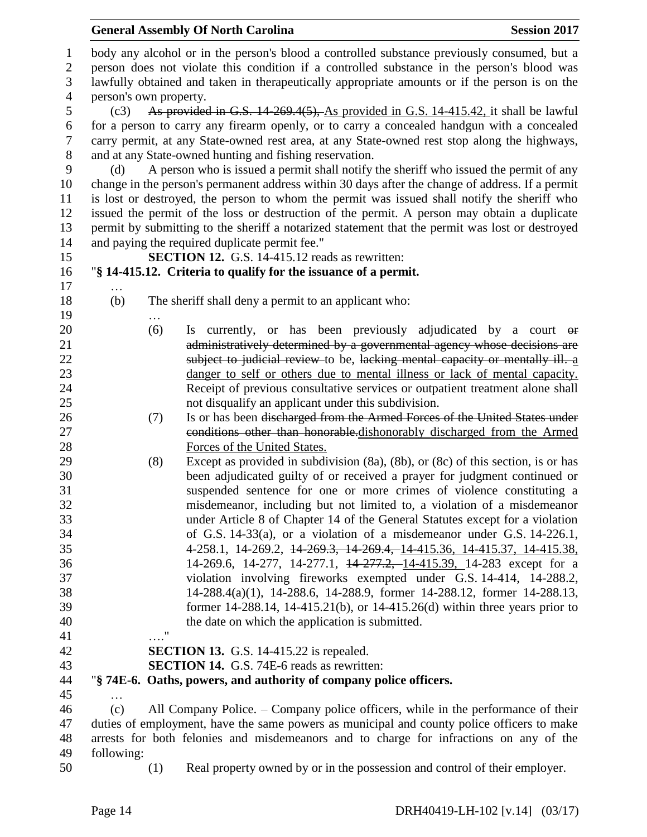| $\mathbf{1}$     |                                                                                               |                    | body any alcohol or in the person's blood a controlled substance previously consumed, but a      |  |  |  |
|------------------|-----------------------------------------------------------------------------------------------|--------------------|--------------------------------------------------------------------------------------------------|--|--|--|
| $\overline{2}$   | person does not violate this condition if a controlled substance in the person's blood was    |                    |                                                                                                  |  |  |  |
| 3                | lawfully obtained and taken in therapeutically appropriate amounts or if the person is on the |                    |                                                                                                  |  |  |  |
| $\overline{4}$   | person's own property.                                                                        |                    |                                                                                                  |  |  |  |
| 5                | (c3)                                                                                          |                    | As provided in G.S. 14-269.4(5), As provided in G.S. 14-415.42, it shall be lawful               |  |  |  |
| $\boldsymbol{6}$ |                                                                                               |                    | for a person to carry any firearm openly, or to carry a concealed handgun with a concealed       |  |  |  |
| $\overline{7}$   |                                                                                               |                    | carry permit, at any State-owned rest area, at any State-owned rest stop along the highways,     |  |  |  |
| $8\,$            |                                                                                               |                    | and at any State-owned hunting and fishing reservation.                                          |  |  |  |
| 9                | (d)                                                                                           |                    | A person who is issued a permit shall notify the sheriff who issued the permit of any            |  |  |  |
| 10               |                                                                                               |                    | change in the person's permanent address within 30 days after the change of address. If a permit |  |  |  |
| 11               |                                                                                               |                    | is lost or destroyed, the person to whom the permit was issued shall notify the sheriff who      |  |  |  |
| 12               |                                                                                               |                    | issued the permit of the loss or destruction of the permit. A person may obtain a duplicate      |  |  |  |
| 13               |                                                                                               |                    | permit by submitting to the sheriff a notarized statement that the permit was lost or destroyed  |  |  |  |
| 14               |                                                                                               |                    | and paying the required duplicate permit fee."                                                   |  |  |  |
| 15               |                                                                                               |                    | SECTION 12. G.S. 14-415.12 reads as rewritten:                                                   |  |  |  |
| 16               |                                                                                               |                    | "§ 14-415.12. Criteria to qualify for the issuance of a permit.                                  |  |  |  |
| 17               | .                                                                                             |                    |                                                                                                  |  |  |  |
| 18               | (b)                                                                                           |                    | The sheriff shall deny a permit to an applicant who:                                             |  |  |  |
| 19               |                                                                                               |                    |                                                                                                  |  |  |  |
| 20               |                                                                                               | (6)                | Is currently, or has been previously adjudicated by a court $\theta$                             |  |  |  |
| 21               |                                                                                               |                    | administratively determined by a governmental agency whose decisions are                         |  |  |  |
| 22               |                                                                                               |                    | subject to judicial review to be, lacking mental capacity or mentally ill. a                     |  |  |  |
| 23               |                                                                                               |                    | danger to self or others due to mental illness or lack of mental capacity.                       |  |  |  |
| 24               |                                                                                               |                    | Receipt of previous consultative services or outpatient treatment alone shall                    |  |  |  |
| 25               |                                                                                               |                    | not disqualify an applicant under this subdivision.                                              |  |  |  |
| 26               |                                                                                               | (7)                | Is or has been discharged from the Armed Forces of the United States under                       |  |  |  |
| 27               |                                                                                               |                    | conditions other than honorable-dishonorably discharged from the Armed                           |  |  |  |
| 28               |                                                                                               |                    | Forces of the United States.                                                                     |  |  |  |
| 29               |                                                                                               | (8)                | Except as provided in subdivision $(8a)$ , $(8b)$ , or $(8c)$ of this section, is or has         |  |  |  |
| 30               |                                                                                               |                    | been adjudicated guilty of or received a prayer for judgment continued or                        |  |  |  |
| 31               |                                                                                               |                    | suspended sentence for one or more crimes of violence constituting a                             |  |  |  |
| 32               |                                                                                               |                    | misdemeanor, including but not limited to, a violation of a misdemeanor                          |  |  |  |
| 33               |                                                                                               |                    | under Article 8 of Chapter 14 of the General Statutes except for a violation                     |  |  |  |
| 34               |                                                                                               |                    | of G.S. 14-33(a), or a violation of a misdemeanor under G.S. $14-226.1$ ,                        |  |  |  |
| 35               |                                                                                               |                    | 4-258.1, 14-269.2, 14-269.3, 14-269.4, 14-415.36, 14-415.37, 14-415.38,                          |  |  |  |
| 36               |                                                                                               |                    | 14-269.6, 14-277, 14-277.1, <del>14-277.2, 14-415.39, 14-283</del> except for a                  |  |  |  |
| 37               |                                                                                               |                    | violation involving fireworks exempted under G.S. 14-414, 14-288.2,                              |  |  |  |
| 38               |                                                                                               |                    | 14-288.4(a)(1), 14-288.6, 14-288.9, former 14-288.12, former 14-288.13,                          |  |  |  |
| 39<br>40         |                                                                                               |                    | former 14-288.14, 14-415.21(b), or 14-415.26(d) within three years prior to                      |  |  |  |
| 41               |                                                                                               | $\pmb{\mathsf{H}}$ | the date on which the application is submitted.                                                  |  |  |  |
| 42               |                                                                                               |                    | <b>SECTION 13.</b> G.S. 14-415.22 is repealed.                                                   |  |  |  |
| 43               |                                                                                               |                    | SECTION 14. G.S. 74E-6 reads as rewritten:                                                       |  |  |  |
| 44               |                                                                                               |                    | "§ 74E-6. Oaths, powers, and authority of company police officers.                               |  |  |  |
| 45               |                                                                                               |                    |                                                                                                  |  |  |  |
| 46               | (c)                                                                                           |                    | All Company Police. – Company police officers, while in the performance of their                 |  |  |  |
| 47               |                                                                                               |                    | duties of employment, have the same powers as municipal and county police officers to make       |  |  |  |
| 48               |                                                                                               |                    | arrests for both felonies and misdemeanors and to charge for infractions on any of the           |  |  |  |
| 49               | following:                                                                                    |                    |                                                                                                  |  |  |  |
| 50               |                                                                                               | (1)                | Real property owned by or in the possession and control of their employer.                       |  |  |  |